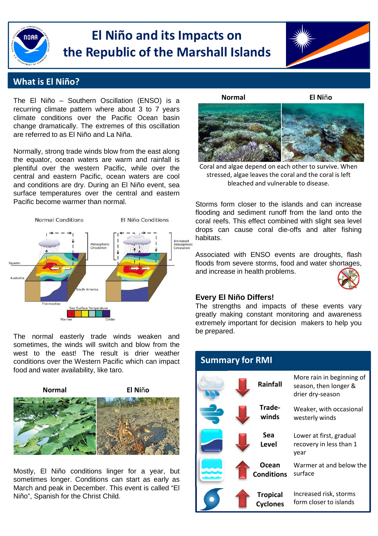

# **El Niño and its Impacts on the Republic of the Marshall Islands**



## **What is El Niño?**

The El Niño – Southern Oscillation (ENSO) is a recurring climate pattern where about 3 to 7 years climate conditions over the Pacific Ocean basin change dramatically. The extremes of this oscillation are referred to as El Niño and La Niña.

Normally, strong trade winds blow from the east along the equator, ocean waters are warm and rainfall is plentiful over the western Pacific, while over the central and eastern Pacific, ocean waters are cool and conditions are dry. During an El Niño event, sea surface temperatures over the central and eastern Pacific become warmer than normal.



The normal easterly trade winds weaken and sometimes, the winds will switch and blow from the west to the east! The result is drier weather conditions over the Western Pacific which can impact food and water availability, like taro.



Mostly, El Niño conditions linger for a year, but sometimes longer. Conditions can start as early as March and peak in December. This event is called "El Niño", Spanish for the Christ Child.



bleached and vulnerable to disease. Coral and algae depend on each other to survive. When stressed, algae leaves the coral and the coral is left

Storms form closer to the islands and can increase flooding and sediment runoff from the land onto the coral reefs. This effect combined with slight sea level drops can cause coral die-offs and alter fishing habitats.

Associated with ENSO events are droughts, flash floods from severe storms, food and water shortages, and increase in health problems.



#### **Every El Niño Differs!**

The strengths and impacts of these events vary greatly making constant monitoring and awareness extremely important for decision makers to help you be prepared.

| <b>Summary for RMI</b> |                                    |                                                                        |
|------------------------|------------------------------------|------------------------------------------------------------------------|
|                        | <b>Rainfall</b>                    | More rain in beginning of<br>season, then longer &<br>drier dry-season |
|                        | Trade-<br>winds                    | Weaker, with occasional<br>westerly winds                              |
|                        | Sea<br><b>Level</b>                | Lower at first, gradual<br>recovery in less than 1<br>year             |
|                        | Ocean<br><b>Conditions</b>         | Warmer at and below the<br>surface                                     |
|                        | <b>Tropical</b><br><b>Cyclones</b> | Increased risk, storms<br>form closer to islands                       |